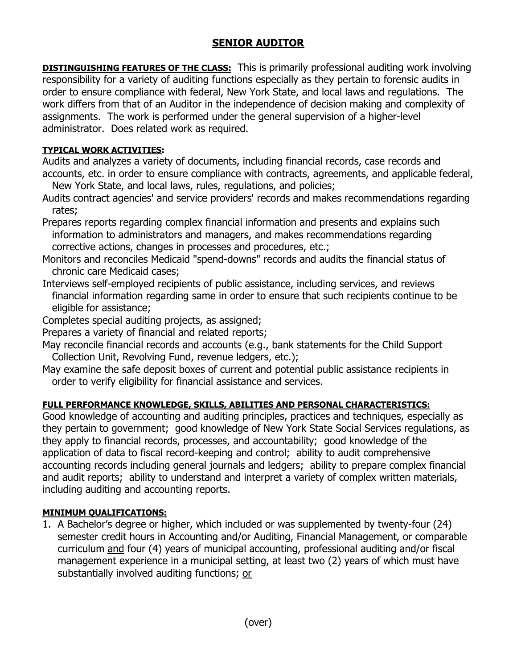## **SENIOR AUDITOR**

**DISTINGUISHING FEATURES OF THE CLASS:** This is primarily professional auditing work involving responsibility for a variety of auditing functions especially as they pertain to forensic audits in order to ensure compliance with federal, New York State, and local laws and regulations. The work differs from that of an Auditor in the independence of decision making and complexity of assignments. The work is performed under the general supervision of a higher-level administrator. Does related work as required.

## **TYPICAL WORK ACTIVITIES:**

Audits and analyzes a variety of documents, including financial records, case records and accounts, etc. in order to ensure compliance with contracts, agreements, and applicable federal,

New York State, and local laws, rules, regulations, and policies;

Audits contract agencies' and service providers' records and makes recommendations regarding rates;

Prepares reports regarding complex financial information and presents and explains such information to administrators and managers, and makes recommendations regarding corrective actions, changes in processes and procedures, etc.;

Monitors and reconciles Medicaid "spend-downs" records and audits the financial status of chronic care Medicaid cases;

- Interviews self-employed recipients of public assistance, including services, and reviews financial information regarding same in order to ensure that such recipients continue to be eligible for assistance;
- Completes special auditing projects, as assigned;
- Prepares a variety of financial and related reports;
- May reconcile financial records and accounts (e.g., bank statements for the Child Support Collection Unit, Revolving Fund, revenue ledgers, etc.);
- May examine the safe deposit boxes of current and potential public assistance recipients in order to verify eligibility for financial assistance and services.

## **FULL PERFORMANCE KNOWLEDGE, SKILLS, ABILITIES AND PERSONAL CHARACTERISTICS:**

Good knowledge of accounting and auditing principles, practices and techniques, especially as they pertain to government; good knowledge of New York State Social Services regulations, as they apply to financial records, processes, and accountability; good knowledge of the application of data to fiscal record-keeping and control; ability to audit comprehensive accounting records including general journals and ledgers; ability to prepare complex financial and audit reports; ability to understand and interpret a variety of complex written materials, including auditing and accounting reports.

## **MINIMUM QUALIFICATIONS:**

1. A Bachelor's degree or higher, which included or was supplemented by twenty-four (24) semester credit hours in Accounting and/or Auditing, Financial Management, or comparable curriculum and four (4) years of municipal accounting, professional auditing and/or fiscal management experience in a municipal setting, at least two (2) years of which must have substantially involved auditing functions; or